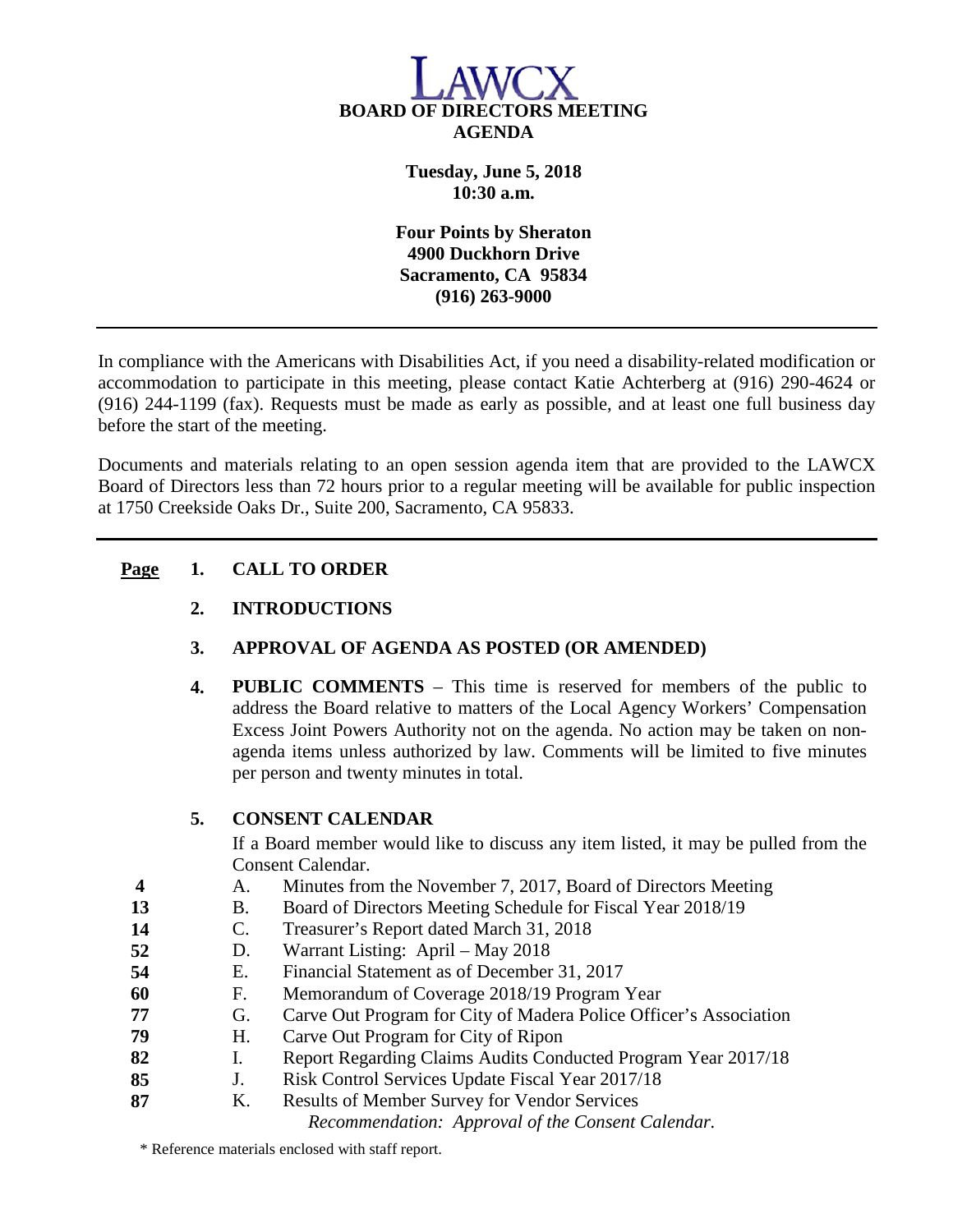

**Tuesday, June 5, 2018 10:30 a.m.**

**Four Points by Sheraton 4900 Duckhorn Drive Sacramento, CA 95834 (916) 263-9000**

In compliance with the Americans with Disabilities Act, if you need a disability-related modification or accommodation to participate in this meeting, please contact Katie Achterberg at (916) 290-4624 or (916) 244-1199 (fax). Requests must be made as early as possible, and at least one full business day before the start of the meeting.

Documents and materials relating to an open session agenda item that are provided to the LAWCX Board of Directors less than 72 hours prior to a regular meeting will be available for public inspection at 1750 Creekside Oaks Dr., Suite 200, Sacramento, CA 95833.

## **Page 1. CALL TO ORDER**

- **2. INTRODUCTIONS**
- **3. APPROVAL OF AGENDA AS POSTED (OR AMENDED)**
- **4. PUBLIC COMMENTS** This time is reserved for members of the public to address the Board relative to matters of the Local Agency Workers' Compensation Excess Joint Powers Authority not on the agenda. No action may be taken on nonagenda items unless authorized by law. Comments will be limited to five minutes per person and twenty minutes in total.

## **5. CONSENT CALENDAR**

If a Board member would like to discuss any item listed, it may be pulled from the Consent Calendar.

- **4** A. Minutes from the November 7, 2017, Board of Directors Meeting
- **13** B. Board of Directors Meeting Schedule for Fiscal Year 2018/19
- **14** C. Treasurer's Report dated March 31, 2018
- **52** D. Warrant Listing: April May 2018
- **54** E. Financial Statement as of December 31, 2017
- **60** F. Memorandum of Coverage 2018/19 Program Year
- **77** G. Carve Out Program for City of Madera Police Officer's Association
- **79** H. Carve Out Program for City of Ripon
- **82** I. Report Regarding Claims Audits Conducted Program Year 2017/18<br>**85** J. Risk Control Services Update Fiscal Year 2017/18
- **85** J. Risk Control Services Update Fiscal Year 2017/18
- **87** K. Results of Member Survey for Vendor Services

*Recommendation: Approval of the Consent Calendar.*

\* Reference materials enclosed with staff report.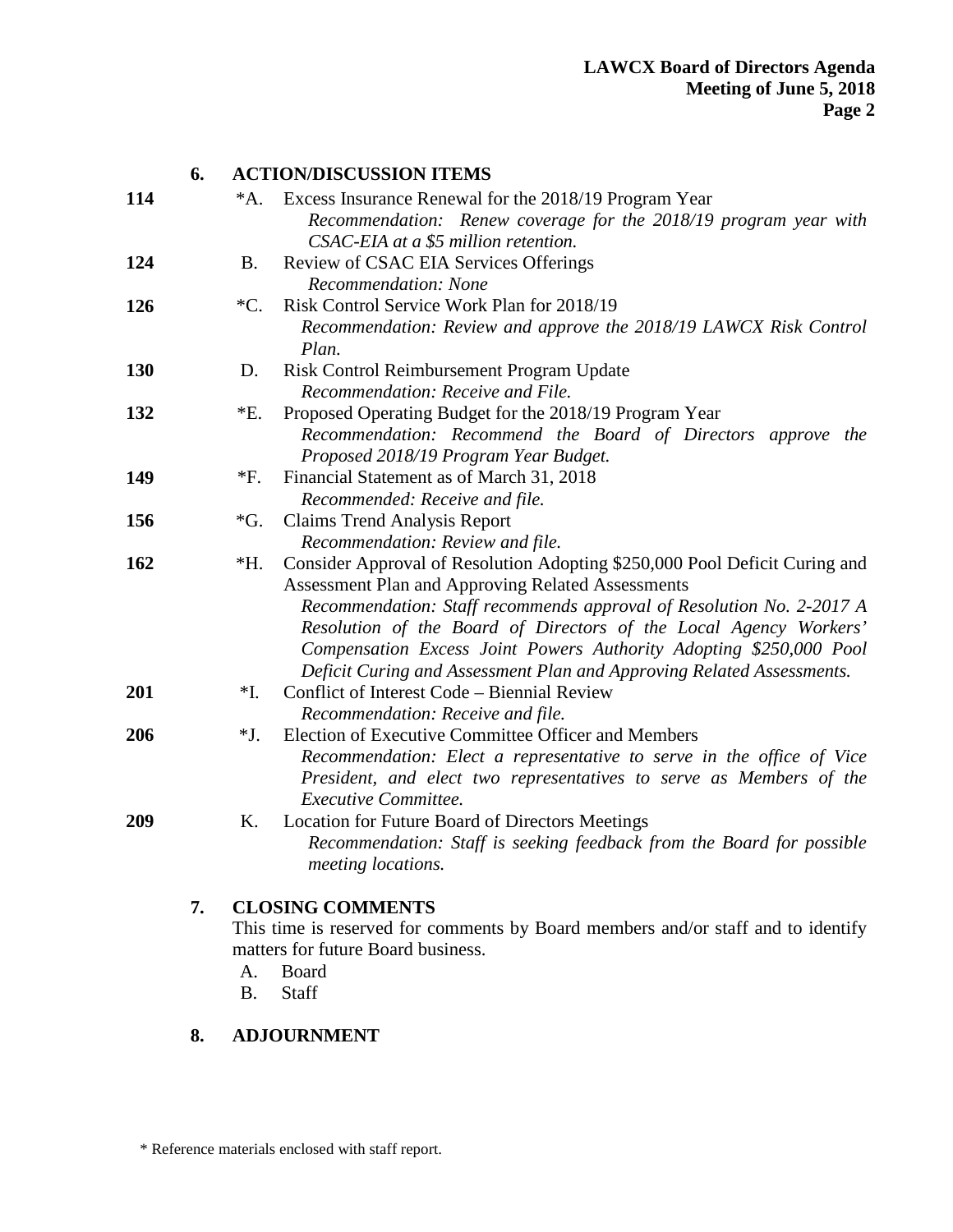|     | 6. |                 | <b>ACTION/DISCUSSION ITEMS</b>                                                                                            |  |
|-----|----|-----------------|---------------------------------------------------------------------------------------------------------------------------|--|
| 114 |    | $^*A.$          | Excess Insurance Renewal for the 2018/19 Program Year<br>Recommendation: Renew coverage for the 2018/19 program year with |  |
|     |    |                 | CSAC-EIA at a \$5 million retention.                                                                                      |  |
| 124 |    | <b>B.</b>       | Review of CSAC EIA Services Offerings                                                                                     |  |
|     |    |                 | Recommendation: None                                                                                                      |  |
| 126 |    | ${^*C}.$        | Risk Control Service Work Plan for 2018/19                                                                                |  |
|     |    |                 | Recommendation: Review and approve the 2018/19 LAWCX Risk Control<br>Plan.                                                |  |
| 130 |    | D.              | Risk Control Reimbursement Program Update                                                                                 |  |
|     |    |                 | Recommendation: Receive and File.                                                                                         |  |
| 132 |    | *E.             | Proposed Operating Budget for the 2018/19 Program Year                                                                    |  |
|     |    |                 | Recommendation: Recommend the Board of Directors approve the<br>Proposed 2018/19 Program Year Budget.                     |  |
| 149 |    | $*F.$           | Financial Statement as of March 31, 2018                                                                                  |  |
|     |    |                 | Recommended: Receive and file.                                                                                            |  |
| 156 |    | $\mathcal{G}$ . | <b>Claims Trend Analysis Report</b>                                                                                       |  |
|     |    |                 | Recommendation: Review and file.                                                                                          |  |
| 162 |    | *H.             | Consider Approval of Resolution Adopting \$250,000 Pool Deficit Curing and                                                |  |
|     |    |                 | Assessment Plan and Approving Related Assessments                                                                         |  |
|     |    |                 | Recommendation: Staff recommends approval of Resolution No. 2-2017 A                                                      |  |
|     |    |                 | Resolution of the Board of Directors of the Local Agency Workers'                                                         |  |
|     |    |                 | Compensation Excess Joint Powers Authority Adopting \$250,000 Pool                                                        |  |
|     |    |                 | Deficit Curing and Assessment Plan and Approving Related Assessments.                                                     |  |
| 201 |    | $*I.$           | Conflict of Interest Code – Biennial Review                                                                               |  |
|     |    |                 | Recommendation: Receive and file.                                                                                         |  |
| 206 |    | $*J.$           | Election of Executive Committee Officer and Members                                                                       |  |
|     |    |                 | Recommendation: Elect a representative to serve in the office of Vice                                                     |  |
|     |    |                 | President, and elect two representatives to serve as Members of the                                                       |  |
|     |    |                 | <b>Executive Committee.</b>                                                                                               |  |
| 209 |    | Κ.              | Location for Future Board of Directors Meetings                                                                           |  |
|     |    |                 | Recommendation: Staff is seeking feedback from the Board for possible<br>meeting locations.                               |  |
|     |    |                 |                                                                                                                           |  |
|     |    |                 |                                                                                                                           |  |
|     | 7. |                 | <b>CLOSING COMMENTS</b><br>This time is reserved for comments by Board members and/or staff and to identify               |  |

This time is reserved for comments by Board members and/or staff and to identify matters for future Board business.

- A. Board
- B. Staff

## **8. ADJOURNMENT**

\* Reference materials enclosed with staff report.